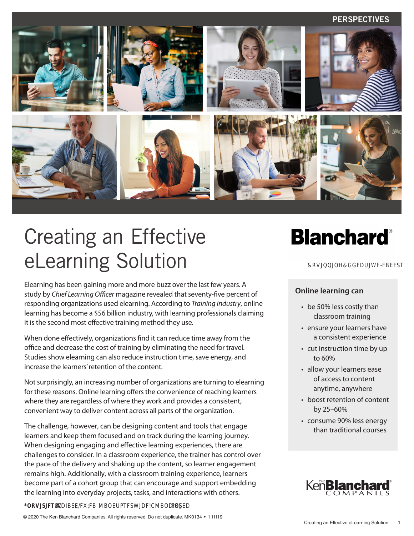#### **PERSPECTIVES**



# Creating an Effective eLearning Solution

Elearning has been gaining more and more buzz over the last few years. A study by *Chief Learning Officer* magazine revealed that seventy-five percent of responding organizations used elearning. According to *Training Industry*, online learning has become a \$56 billion industry, with learning professionals claiming it is the second most effective training method they use.

When done effectively, organizations find it can reduce time away from the office and decrease the cost of training by eliminating the need for travel. Studies show elearning can also reduce instruction time, save energy, and increase the learners' retention of the content.

Not surprisingly, an increasing number of organizations are turning to elearning for these reasons. Online learning offers the convenience of reaching learners where they are regardless of where they work and provides a consistent, convenient way to deliver content across all parts of the organization.

The challenge, however, can be designing content and tools that engage learners and keep them focused and on track during the learning journey. When designing engaging and effective learning experiences, there are challenges to consider. In a classroom experience, the trainer has control over the pace of the delivery and shaking up the content, so learner engagement remains high. Additionally, with a classroom training experience, learners become part of a cohort group that can encourage and support embedding the learning into everyday projects, tasks, and interactions with others.

**@RXSJFTM BODIBSERGHB MBOERTFSWJDF@MBODIBSEDPO** 

&R**WOOJOKMEDWWF-FBEFST** 

#### **Online learning can**

- be 50% less costly than classroom training
- ensure your learners have a consistent experience
- cut instruction time by up to 60%
- allow your learners ease of access to content anytime, anywhere
- boost retention of content by 25–60%
- consume 90% less energy than traditional courses

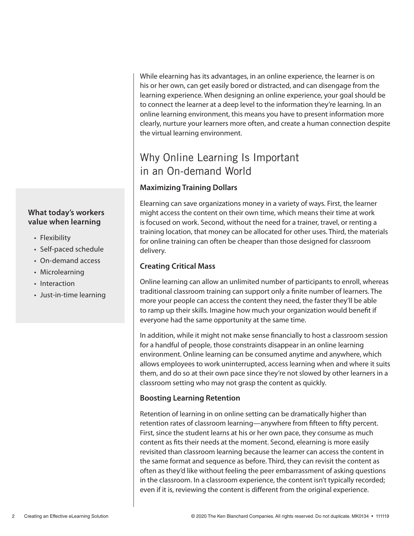# **What today's workers value when learning**

- Flexibility
- Self-paced schedule
- On-demand access
- Microlearning
- Interaction
- Just-in-time learning

While elearning has its advantages, in an online experience, the learner is on his or her own, can get easily bored or distracted, and can disengage from the learning experience. When designing an online experience, your goal should be to connect the learner at a deep level to the information they're learning. In an online learning environment, this means you have to present information more clearly, nurture your learners more often, and create a human connection despite the virtual learning environment.

# Why Online Learning Is Important in an On-demand World

# **Maximizing Training Dollars**

Elearning can save organizations money in a variety of ways. First, the learner might access the content on their own time, which means their time at work is focused on work. Second, without the need for a trainer, travel, or renting a training location, that money can be allocated for other uses. Third, the materials for online training can often be cheaper than those designed for classroom delivery.

## **Creating Critical Mass**

Online learning can allow an unlimited number of participants to enroll, whereas traditional classroom training can support only a finite number of learners. The more your people can access the content they need, the faster they'll be able to ramp up their skills. Imagine how much your organization would benefit if everyone had the same opportunity at the same time.

In addition, while it might not make sense financially to host a classroom session for a handful of people, those constraints disappear in an online learning environment. Online learning can be consumed anytime and anywhere, which allows employees to work uninterrupted, access learning when and where it suits them, and do so at their own pace since they're not slowed by other learners in a classroom setting who may not grasp the content as quickly.

## **Boosting Learning Retention**

Retention of learning in on online setting can be dramatically higher than retention rates of classroom learning—anywhere from fifteen to fifty percent. First, since the student learns at his or her own pace, they consume as much content as fits their needs at the moment. Second, elearning is more easily revisited than classroom learning because the learner can access the content in the same format and sequence as before. Third, they can revisit the content as often as they'd like without feeling the peer embarrassment of asking questions in the classroom. In a classroom experience, the content isn't typically recorded; even if it is, reviewing the content is different from the original experience.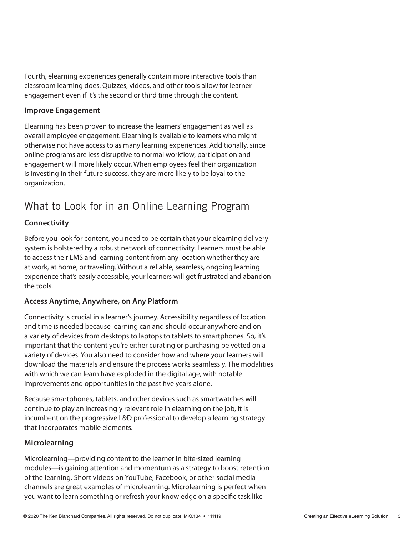Fourth, elearning experiences generally contain more interactive tools than classroom learning does. Quizzes, videos, and other tools allow for learner engagement even if it's the second or third time through the content.

#### **Improve Engagement**

Elearning has been proven to increase the learners' engagement as well as overall employee engagement. Elearning is available to learners who might otherwise not have access to as many learning experiences. Additionally, since online programs are less disruptive to normal workflow, participation and engagement will more likely occur. When employees feel their organization is investing in their future success, they are more likely to be loyal to the organization.

# What to Look for in an Online Learning Program

## **Connectivity**

Before you look for content, you need to be certain that your elearning delivery system is bolstered by a robust network of connectivity. Learners must be able to access their LMS and learning content from any location whether they are at work, at home, or traveling. Without a reliable, seamless, ongoing learning experience that's easily accessible, your learners will get frustrated and abandon the tools.

#### **Access Anytime, Anywhere, on Any Platform**

Connectivity is crucial in a learner's journey. Accessibility regardless of location and time is needed because learning can and should occur anywhere and on a variety of devices from desktops to laptops to tablets to smartphones. So, it's important that the content you're either curating or purchasing be vetted on a variety of devices. You also need to consider how and where your learners will download the materials and ensure the process works seamlessly. The modalities with which we can learn have exploded in the digital age, with notable improvements and opportunities in the past five years alone.

Because smartphones, tablets, and other devices such as smartwatches will continue to play an increasingly relevant role in elearning on the job, it is incumbent on the progressive L&D professional to develop a learning strategy that incorporates mobile elements.

#### **Microlearning**

Microlearning—providing content to the learner in bite-sized learning modules—is gaining attention and momentum as a strategy to boost retention of the learning. Short videos on YouTube, Facebook, or other social media channels are great examples of microlearning. Microlearning is perfect when you want to learn something or refresh your knowledge on a specific task like